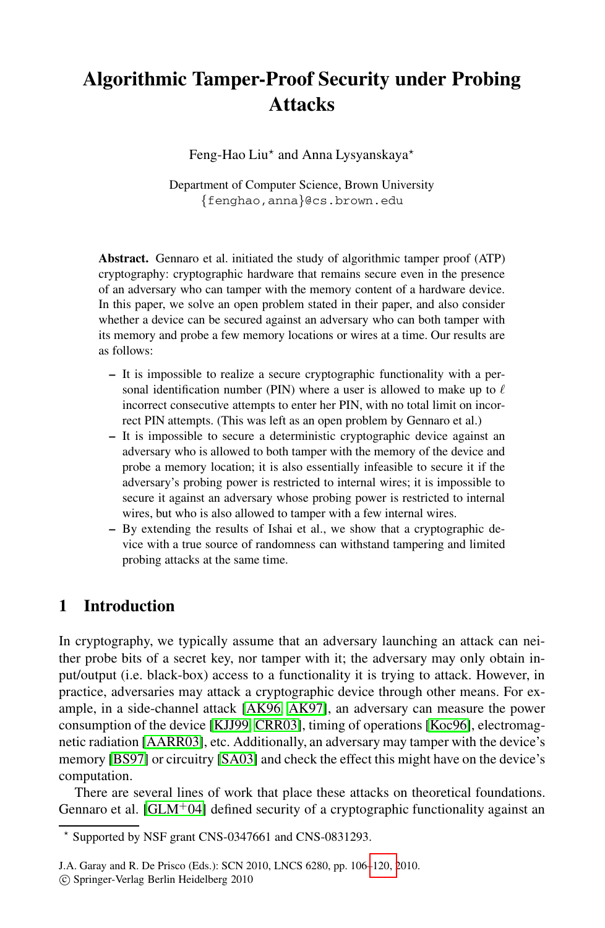# **Algorithmic Tamper-Proof Security under Probing Attacks**

Feng-Hao Liu\* and Anna Lysyanskaya\*

Department of Computer Science, Brown University {fenghao,anna}@cs.brown.edu

**Abstract.** Gennaro et al. initiated the study of algorithmic tamper proof (ATP) cryptography: cryptographic hardware that remains secure even in the presence of an adversary who can tamper with the memory content of a hardware device. In this paper, we solve an open problem stated in their paper, and also consider whether a device can be secured against an adversary who can both tamper with its memory and probe a few memory locations or wires at a time. Our results are as follows:

- **–** It is impossible to realize a secure cryptographic functionality with a personal identification number (PIN) where a user is allowed to make up to  $\ell$ incorrect consecutive attempts to enter her PIN, with no total limit on incorrect PIN attempts. (This was left as an open problem by Gennaro et al.)
- **–** It is impossible to secure a deterministic cryptographic device against an adversary who is allowed to both tamper with the memory of the device and probe a memory location; it is also essentially infeasible to secure it if the adversary's probing power is restricted to internal wires; it is impossible to secure it against an adversary whose probing power is restricted to internal wires, but who is also allowed to tamper with a few internal wires.
- **–** By extending the results of Ishai et al., we show that a cryptographic device with a true source of randomness can withstand tampering and limited probing attacks at the same time.

## **[1 I](#page-14-2)[ntrodu](#page-14-0)[ction](#page-14-1)**

In crypt[ograph](#page-14-3)y, we typically assume that an adversary launching an attack can neither probe bits of a secret key, nor tamper with it; the adversary may only obtain in[put/ou](#page-14-4)tput (i.e. black-box) access to a functionality it is trying to attack. However, in practice, adversaries may attack a cryptographic device through other means. For example, in a side-channel attack [AK96, AK97], an adversary can measure the power consumption of the device [KJJ99, CRR03], timing of operations [Koc96], electromagnetic radiation [AARR03], etc. Ad[dition](#page-14-5)ally, an adversary may tamper with the device's memory [BS97] or circuitry [SA03] and check the effect this might have on the device's computation.

There are several lines of work that place these attacks on theoretical foundations. Gennaro et al.  $[GLM+04]$  defined security of a cryptographic functionality against an

<sup>-</sup> Supported by NSF grant CNS-0347661 and CNS-0831293.

J.A. Garay and R. De Prisco (Eds.): SCN 2010, LNCS 6280, pp. 106–120, 2010.

<sup>-</sup>c Springer-Verlag Berlin Heidelberg 2010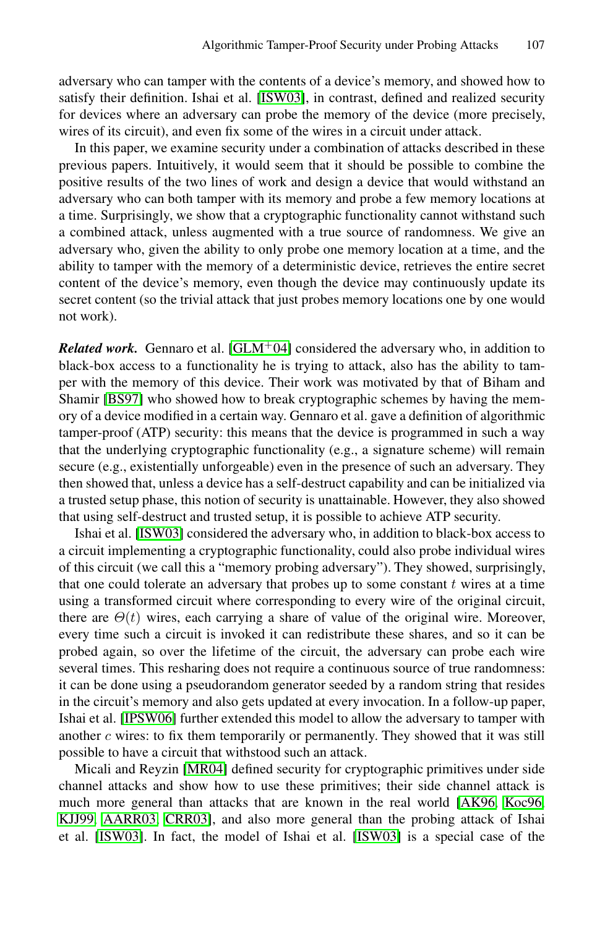adversary who can tamper with the contents of a device's memory, and showed how to satisfy their definition. Ishai et al. [ISW03], in contrast, defined and realized security for devices where an adversary can probe the memory of the device (more precisely, wires of its circuit), and even fix some of the wires in a circuit under attack.

In this paper, we examine security under a combination of attacks described in these previous papers. Intuitively, it would seem that it should be possible to combine the positive results of the two lines of work and design a device that would withstand an adversary who can both tamper with its memory and probe a few memory locations at a time. Su[rprisingly,](#page-14-4) we show that a cryptographic functionality cannot withstand such a combined attack, unless augmented with a true source of randomness. We give an adversary who, given the ability to only probe one memory location at a time, and the ability to tamper with the memory of a deterministic device, retrieves the entire secret content of the device's memory, even though the device may continuously update its secret content (so the trivial attack that just probes memory locations one by one would not work).

*Related work.* Gennaro et al. [GLM+04] considered the adversary who, in addition to black-box access to a functionality he is trying to attack, also has the ability to tamper with the memory of this device. Their work was motivated by that of Biham and [S](#page-14-6)hamir [BS97] who showed how to break cryptographic schemes by having the memory of a device modified in a certain way. Gennaro et al. gave a definition of algorithmic tamper-proof (ATP) security: this means that the device is programmed in such a way that the underlying cryptographic functionality (e.g., a signature scheme) will remain secure (e.g., existentially unforgeable) even in the presence of such an adversary. They then showed that, unless a device has a self-destruct capability and can be initialized via a trusted setup phase, this notion of security is unattainable. However, they also showed that using self-destruct and trusted setup, it is possible to achieve ATP security.

Ishai et al. [ISW03] considered the adversary who, in addition to black-box access to a circuit implementing a cryptographic functionality, could also probe individual wires of this circuit (we call this a "memory probing adversary"). They showed, surprisingly, that one could tolerate an adversary that probes up to some constant  $t$  wires at a time using a transformed circuit where corresponding to every wire of the original circuit, there are  $\Theta(t)$  wires, each carrying a share of value of the original wire. Moreover, e[very tim](#page-14-7)e such a circuit is invoked it can redistribute these shares, and so it can be probed again, so over the lifetime of the circuit, the adversary can probe each wire several times. This resharing does not require a co[ntinuou](#page-14-8)[s source](#page-14-9) of true randomness: [it can](#page-14-1) be done using a pseudorandom generator seeded by a random string that resides in the circuit's memory and also [gets upd](#page-14-6)ated at every invocation. In a follow-up paper, Ishai et al. [IPSW06] further extended this model to allow the adversary to tamper with another  $c$  wires: to fix them temporarily or permanently. They showed that it was still possible to have a circuit that withstood such an attack.

Micali and Reyzin [MR04] defined security for cryptographic primitives under side channel attacks and show how to use these primitives; their side channel attack is much more general than attacks that are known in the real world [AK96, Koc96, KJJ99, AARR03, CRR03], and also more general than the probing attack of Ishai et al. [ISW03]. In fact, the model of Ishai et al. [ISW03] is a special case of the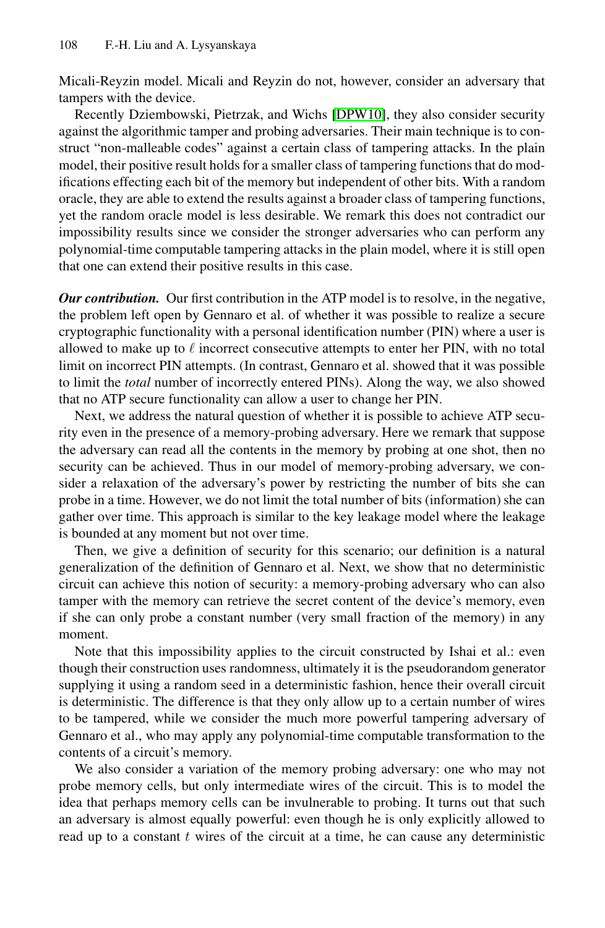Micali-Reyzin model. Micali and Reyzin do not, however, consider an adversary that tampers with the device.

Recently Dziembowski, Pietrzak, and Wichs [DPW10], they also consider security against the algorithmic tamper and probing adversaries. Their main technique is to construct "non-malleable codes" against a certain class of tampering attacks. In the plain model, their positive result holds for a smaller class of tampering functions that do modifications effecting each bit of the memory but independent of other bits. With a random oracle, they are able to extend the results against a broader class of tampering functions, yet the random oracle model is less desirable. We remark this does not contradict our impossibility results since we consider the stronger adversaries who can perform any polynomial-time computable tampering attacks in the plain model, where it is still open that one can extend their positive results in this case.

*Our contribution.* Our first contribution in the ATP model is to resolve, in the negative, the problem left open by Gennaro et al. of whether it was possible to realize a secure cryptographic functionality with a personal identification number (PIN) where a user is allowed to make up to  $\ell$  incorrect consecutive attempts to enter her PIN, with no total limit on incorrect PIN attempts. (In contrast, Gennaro et al. showed that it was possible to limit the *total* number of incorrectly entered PINs). Along the way, we also showed that no ATP secure functionality can allow a user to change her PIN.

Next, we address the natural question of whether it is possible to achieve ATP security even in the presence of a memory-probing adversary. Here we remark that suppose the adversary can read all the contents in the memory by probing at one shot, then no security can be achieved. Thus in our model of memory-probing adversary, we consider a relaxation of the adversary's power by restricting the number of bits she can probe in a time. However, we do not limit the total number of bits (information) she can gather over time. This approach is similar to the key leakage model where the leakage is bounded at any moment but not over time.

Then, we give a definition of security for this scenario; our definition is a natural generalization of the definition of Gennaro et al. Next, we show that no deterministic circuit can achieve this notion of security: a memory-probing adversary who can also tamper with the memory can retrieve the secret content of the device's memory, even if she can only probe a constant number (very small fraction of the memory) in any moment.

Note that this impossibility applies to the circuit constructed by Ishai et al.: even though their construction uses randomness, ultimately it is the pseudorandom generator supplying it using a random seed in a deterministic fashion, hence their overall circuit is deterministic. The difference is that they only allow up to a certain number of wires to be tampered, while we consider the much more powerful tampering adversary of Gennaro et al., who may apply any polynomial-time computable transformation to the contents of a circuit's memory.

We also consider a variation of the memory probing adversary: one who may not probe memory cells, but only intermediate wires of the circuit. This is to model the idea that perhaps memory cells can be invulnerable to probing. It turns out that such an adversary is almost equally powerful: even though he is only explicitly allowed to read up to a constant  $t$  wires of the circuit at a time, he can cause any deterministic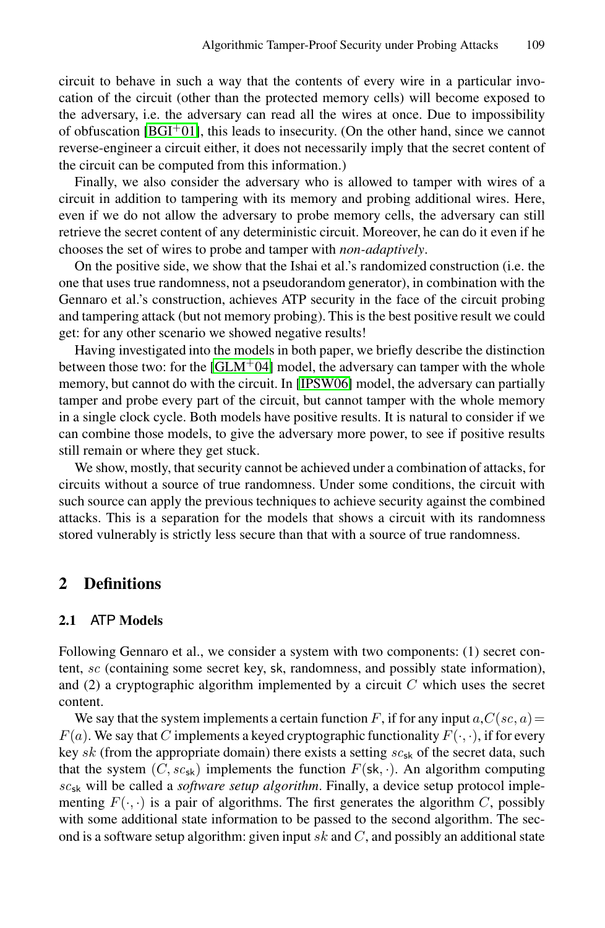circuit to behave in such a way that the contents of every wire in a particular invocation of the circuit (other than the protected memory cells) will become exposed to the adversary, i.e. the adversary can read all the wires at once. Due to impossibility of obfuscation  $[{\rm B}GI^+01]$ , this leads to insecurity. (On the other hand, since we cannot reverse-engineer a circuit either, it does not necessarily imply that the secret content of the circuit can be computed from this information.)

Finally, we also consider the adversary who is allowed to tamper with wires of a circuit in addition to tampering with its memory and probing additional wires. Here, even if we do not allow the adversary to probe memory cells, the adversary can still retriev[e the secret](#page-14-4) content of any deterministic circuit. Moreover, he can do it even if he chooses the set of wir[es to prob](#page-14-10)e and tamper with *non-adaptively*.

On the positive side, we show that the Ishai et al.'s randomized construction (i.e. the one that uses true randomness, not a pseudorandom generator), in combination with the Gennaro et al.'s construction, achieves ATP security in the face of the circuit probing and tampering attack (but not memory probing). This is the best positive result we could get: for any other scenario we showed negative results!

Having investigated into the models in both paper, we briefly describe the distinction between those two: for the  $[GLM<sup>+</sup>04]$  model, the adversary can tamper with the whole memory, but cannot do with the circuit. In [IPSW06] model, the adversary can partially tamper and probe every part of the circuit, but cannot tamper with the whole memory in a single clock cycle. Both models have positive results. It is natural to consider if we can combine those models, to give the adversary more power, to see if positive results still remain or where they get stuck.

We show, mostly, that security cannot be achieved under a combination of attacks, for circuits without a source of true randomness. Under some conditions, the circuit with such source can apply the previous techniques to achieve security against the combined attacks. This is a separation for the models that shows a circuit with its randomness stored vulnerably is strictly less secure than that with a source of true randomness.

## **2 Definitions**

### **2.1** ATP **Models**

Following Gennaro et al., we consider a system with two components: (1) secret content, *sc* (containing some secret key, sk, randomness, and possibly state information), and (2) a cryptographic algorithm implemented by a circuit  $C$  which uses the secret content.

We say that the system implements a certain function F, if for any input  $a, C(sc, a)$  $F(a)$ . We say that C implements a keyed cryptographic functionality  $F(\cdot, \cdot)$ , if for every key sk (from the appropriate domain) there exists a setting *sc*sk of the secret data, such that the system  $(C, sc_{sk})$  implements the function  $F(\mathsf{sk}, \cdot)$ . An algorithm computing *sc*sk will be called a *software setup algorithm*. Finally, a device setup protocol implementing  $F(\cdot, \cdot)$  is a pair of algorithms. The first generates the algorithm C, possibly with some additional state information to be passed to the second algorithm. The second is a software setup algorithm: given input sk and  $C$ , and possibly an additional state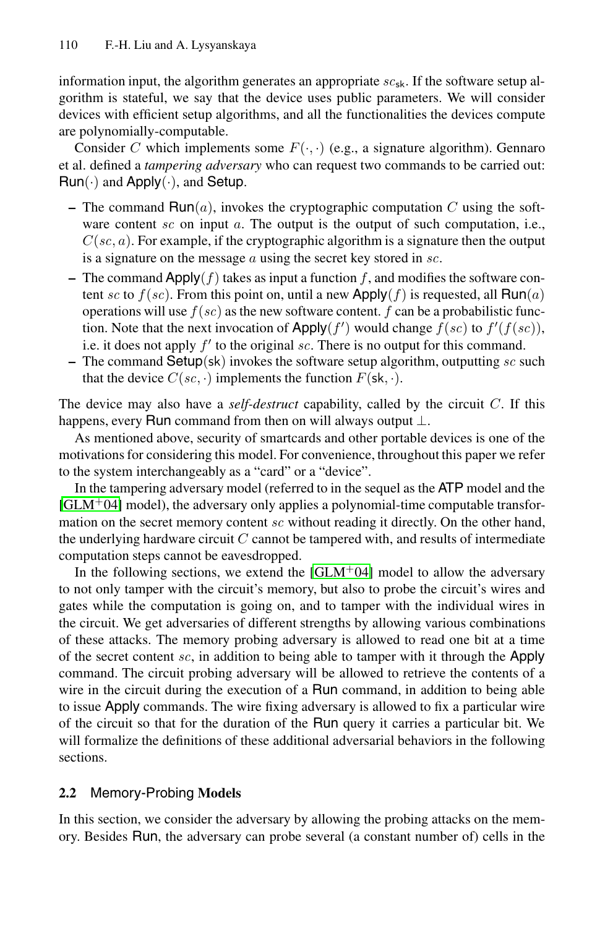information input, the algorithm generates an appropriate  $sc_{sk}$ . If the software setup algorithm is stateful, we say that the device uses public parameters. We will consider devices with efficient setup algorithms, and all the functionalities the devices compute are polynomially-computable.

Consider C which implements some  $F(\cdot, \cdot)$  (e.g., a signature algorithm). Gennaro et al. defined a *tampering adversary* who can request two commands to be carried out:  $Run(\cdot)$  and  $Apply(\cdot)$ , and Setup.

- **–** The command  $\text{Run}(a)$ , invokes the cryptographic computation C using the software content *sc* on input *a*. The output is the output of such computation, i.e.,  $C$ ( $sc, a$ ). For example, if the cryptographic algorithm is a signature then the output is a signature on the message a using the secret key stored in *sc*.
- **–** The command  $\text{Apply}(f)$  takes as input a function f, and modifies the software content *sc* to  $f$ (*sc*). From this point on, until a new Apply( $f$ ) is requested, all  $\text{Run}(a)$ operations will use  $f$ ( $sc$ ) as the new software content.  $f$  can be a probabilistic function. Note that the next invocation of **Apply** $(f')$  would change  $\bar{f}(sc)$  to  $f'(f(se))$ ,<br>i.e., it does not apply  $f'$  to the original  $sc$ . There is no output for this command i.e. it does not apply  $f'$  to the original  $sc$ . There is no output for this command.<br>The command Setup(sk) invokes the software setup algorithm outputting  $sc$
- **–** The command Setup(sk) invokes the software setup algorithm, outputting *sc* such that the device  $C(se, \cdot)$  implements the function  $F(\mathsf{sk}, \cdot)$ .

The device may also have a *self-destruct* capability, called by the circuit C. If this happens, every Run command from then on will always output  $\bot$ .

As mentioned above, [security of](#page-14-4) smartcards and other portable devices is one of the motivations for considering this model. For convenience, throughout this paper we refer to the system interchangeably as a "card" or a "device".

In the tampering adversary model (referred to in the sequel as the ATP model and the  $[GLM<sup>+</sup>04]$  model), the adversary only applies a polynomial-time computable transformation on the secret memory content *sc* without reading it directly. On the other hand, the underlying hardware circuit  $C$  cannot be tampered with, and results of intermediate computation steps cannot be eavesdropped.

In the following sections, we extend the  $[GLM+04]$  model to allow the adversary to not only tamper with the circuit's memory, but also to probe the circuit's wires and gates while the computation is going on, and to tamper with the individual wires in the circuit. We get adversaries of different strengths by allowing various combinations of these attacks. The memory probing adversary is allowed to read one bit at a time of the secret content *sc*, in addition to being able to tamper with it through the Apply command. The circuit probing adversary will be allowed to retrieve the contents of a wire in the circuit during the execution of a Run command, in addition to being able to issue Apply commands. The wire fixing adversary is allowed to fix a particular wire of the circuit so that for the duration of the Run query it carries a particular bit. We will formalize the definitions of these additional adversarial behaviors in the following sections.

#### **2.2** Memory-Probing **Models**

In this section, we consider the adversary by allowing the probing attacks on the memory. Besides Run, the adversary can probe several (a constant number of) cells in the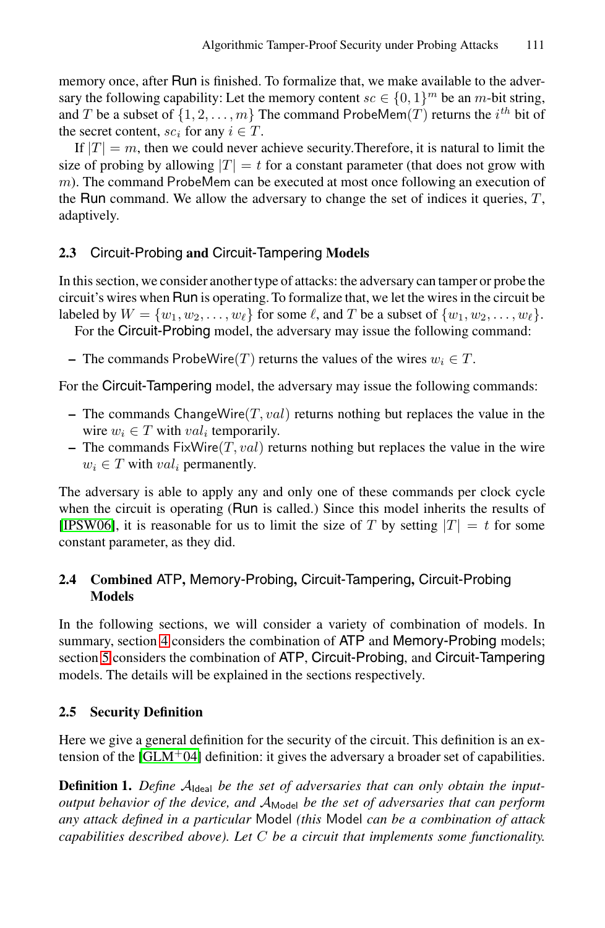memory once, after Run is finished. To formalize that, we make available to the adversary the following capability: Let the memory content  $sc \in \{0,1\}^m$  be an *m*-bit string, and T be a subset of  $\{1, 2, ..., m\}$  The command ProbeMem $(T)$  returns the *i*<sup>th</sup> bit of the secret content sc. for any  $i \in T$ the secret content,  $\mathit{sc}_i$  for any  $i \in T$ .

If  $|T| = m$ , then we could never achieve security. Therefore, it is natural to limit the size of probing by allowing  $|T| = t$  for a constant parameter (that does not grow with m). The command ProbeMem can be executed at most once following an execution of the Run command. We allow the adversary to change the set of indices it queries,  $T$ , adaptively.

#### **2.3** Circuit-Probing **and** Circuit-Tampering **Models**

In this section, we consider another type of attacks: the adversary can tamper or probe the circuit's wires when Run is operating. To formalize that, we let the wires in the circuit be labeled by  $W = \{w_1, w_2, \dots, w_\ell\}$  for some  $\ell$ , and T be a subset of  $\{w_1, w_2, \dots, w_\ell\}$ . For the Circuit-Probing model, the adversary may issue the following command:

**–** The commands ProbeWire(T) returns the values of the wires  $w_i \in T$ .

For the Circuit-Tampering model, the adversary may issue the following commands:

- **–** The commands ChangeWire(T, val) returns nothing but replaces the value in the wire  $w_i \in T$  with  $val_i$  temporarily.
- **–** The commands  $FixWire(T, val)$  returns nothing but replaces the value in the wire  $w_i \in T$  with  $val_i$  permanently.

The adversary is able to apply any and only one of these commands per clock cycle when the circuit is operating (Run is called.) Since this model inherits the results of [IPSW06], it is reasonable for us to limit the size of T by setting  $|T| = t$  for some constant parameter, as they did.

### **2.4 Combined** ATP**,** Memory-Probing**,** Circuit-Tampering**,** Circuit-Probing **Models**

[In th](#page-14-4)e following sections, we will consider a variety of combination of models. In summary, section 4 considers the combination of ATP and Memory-Probing models; section 5 considers the combination of ATP, Circuit-Probing, and Circuit-Tampering models. The details will be explained in the sections respectively.

#### **2.5 Security Definition**

Here we give a general definition for the security of the circuit. This definition is an extension of the  $[GLM<sup>+</sup>04]$  definition: it gives the adversary a broader set of capabilities.

**Definition 1.** Define  $A_{\text{Ideal}}$  be the set of adversaries that can only obtain the input*output behavior of the device, and* AModel *be the set of adversaries that can perform any attack defined in a particular* Model *(this* Model *can be a combination of attack capabilities described above). Let* C *be a circuit that implements some functionality.*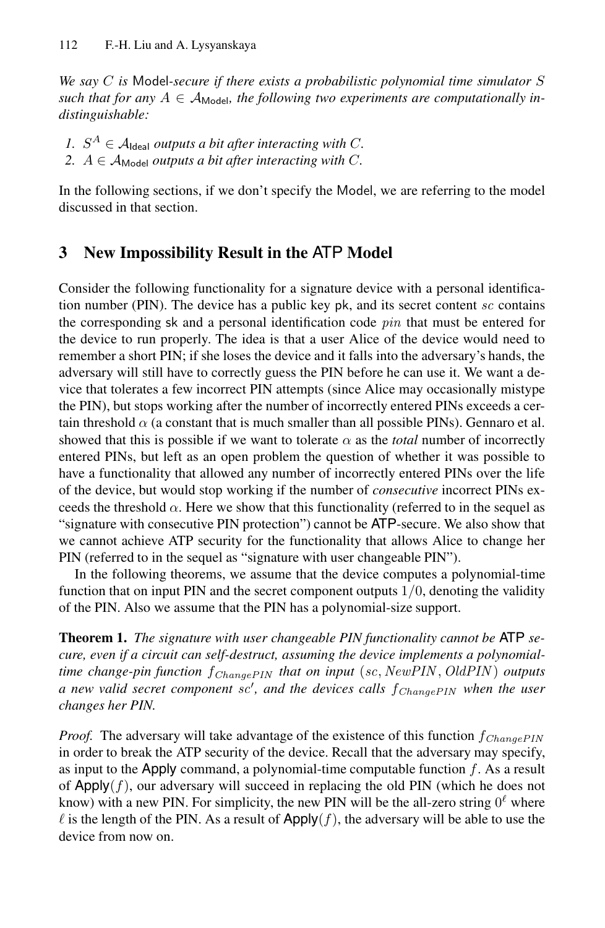*We say* C *is* Model*-secure if there exists a probabilistic polynomial time simulator* S such that for any  $A \in A_{\text{Model}}$ , the following two experiments are computationally in*distinguishable:*

- *1.*  $S^A \in \mathcal{A}_{\text{Ideal}}$  *outputs a bit after interacting with C.*
- 2.  $A \in \mathcal{A}_{\text{Model}}$  *outputs a bit after interacting with C*.

In the following sections, if we don't specify the Model, we are referring to the model discussed in that section.

# **3 New Impossibility Result in the** ATP **Model**

Consider the following functionality for a signature device with a personal identification number (PIN). The device has a public key pk, and its secret content *sc* contains the corresponding sk and a personal identification code *pin* that must be entered for the device to run properly. The idea is that a user Alice of the device would need to remember a short PIN; if she loses the device and it falls into the adversary's hands, the adversary will still have to correctly guess the PIN before he can use it. We want a device that tolerates a few incorrect PIN attempts (since Alice may occasionally mistype the PIN), but stops working after the number of incorrectly entered PINs exceeds a certain threshold  $\alpha$  (a constant that is much smaller than all possible PINs). Gennaro et al. showed that this is possible if we want to tolerate  $\alpha$  as the *total* number of incorrectly entered PINs, but left as an open problem the question of whether it was possible to have a functionality that allowed any number of incorrectly entered PINs over the life of the device, but would stop working if the number of *consecutive* incorrect PINs exceeds the threshold  $\alpha$ . Here we show that this functionality (referred to in the sequel as "signature with consecutive PIN protection") cannot be ATP-secure. We also show that we cannot achieve ATP security for the functionality that allows Alice to change her PIN (referred to in the sequel as "signature with user changeable PIN").

In the following theorems, we assume that the device computes a polynomial-time function that on input PIN and the secret component outputs  $1/0$ , denoting the validity of the PIN. Also we assume that the PIN has a polynomial-size support.

<span id="page-6-0"></span>**Theorem 1.** *The signature with user changeable PIN functionality cannot be* ATP *secure, even if a circuit can self-destruct, assuming the device implements a polynomialtime change-pin function* <sup>f</sup>*ChangePIN that on input* (*sc*, *NewPIN* , *OldPIN* ) *outputs a new valid secret component sc', and the devices calls*  $f_{ChangePIN}$  *when the user changes her PIN changes her PIN.*

*Proof.* The adversary will take advantage of the existence of this function  $f_{ChangePIN}$ in order to break the ATP security of the device. Recall that the adversary may specify, as input to the Apply command, a polynomial-time computable function  $f$ . As a result of  $\mathsf{Apply}(f)$ , our adversary will succeed in replacing the old PIN (which he does not know) with a new PIN. For simplicity, the new PIN will be the all-zero string  $0^{\ell}$  where  $\ell$  is the length of the PIN. As a result of  $\mathsf{Apply}(f)$ , the adversary will be able to use the device from now on.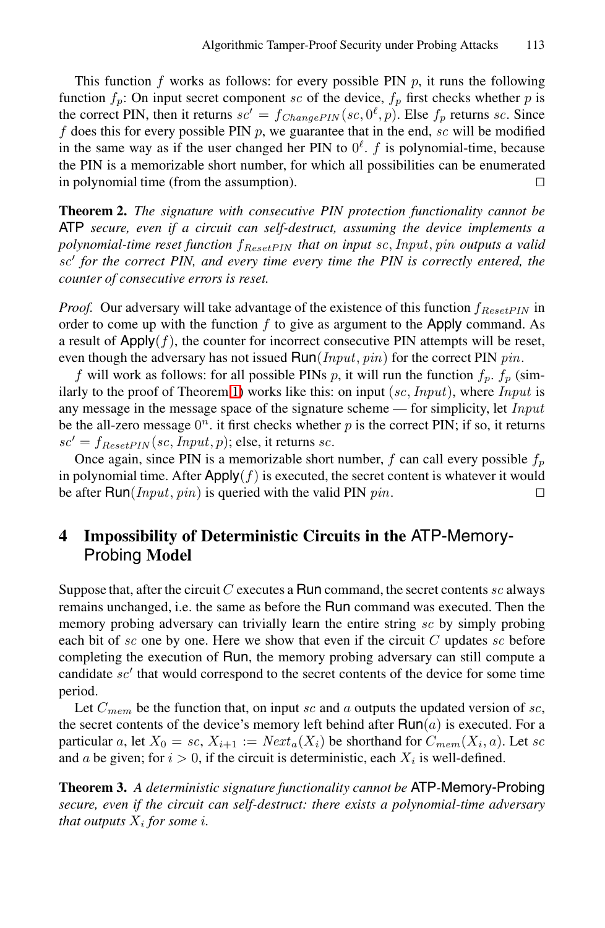This function f works as follows: for every possible PIN  $p$ , it runs the following function  $f_p$ : On input secret component *sc* of the device,  $f_p$  first checks whether p is the correct PIN, then it returns  $sc' = f_{ChangePIN}(sc, 0^{\ell}, p)$ . Else  $f_p$  returns  $sc$ . Since  $f$  does this for every possible PIN *n*, we quarantee that in the end, sc will be modified f does this for every possible PIN p, we guarantee that in the end, *sc* will be modified in the same way as if the user changed her PIN to  $0^{\ell}$ . f is polynomial-time, because the PIN is a memorizable short number, for which all possibilities can be enumerated in polynomial time (from the assumption).

**Theorem 2.** *The signature with consecutive PIN protection functionality cannot be* ATP *secure, even if a circuit can self-destruct, assuming the device implements a polynomial-time reset function* <sup>f</sup>*ResetPIN that on input sc*,*Input*, *pin outputs a valid sc*- *for th[e](#page-6-0) correct PIN, and every time every time the PIN is correctly entered, the counter of consecutive errors is reset.*

*Proof.* Our adversary will take advantage of the existence of this function  $f_{ResetPIN}$  in order to come up with the function  $f$  to give as argument to the Apply command. As a result of  $\mathsf{Apply}(f)$ , the counter for incorrect consecutive PIN attempts will be reset, even though the adversary has not issued Run(*Input*, *pin*) for the correct PIN *pin*.

f will work as follows: for all possible PINs p, it will run the function  $f_p$ .  $f_p$  (similarly to the proof of Theorem 1) works like this: on input (*sc*,*Input*), where *Input* is any message in the message space of the signature scheme — for simplicity, let *Input* be the all-zero message  $0<sup>n</sup>$ . it first checks whether p is the correct PIN; if so, it returns  $sc' = f_{ResetPIN}(sc, Input, p)$ ; else, it returns *sc*.<br>Once again, since PIN is a memorizable short

Once again, since PIN is a memorizable short number, f can call every possible  $f<sub>p</sub>$ in polynomial time. After Apply(f) is executed, the secret content is whatever it would<br>be after  $\text{Run}(Input, \textit{pin})$  is queried with the valid PIN  $\textit{pin}$ . be after Run(*Input*, *pin*) is queried with the valid PIN *pin*.

## **4 Impossibility of Deterministic Circuits in the** ATP-Memory-Probing **Model**

Suppose that, after the circuit C executes a Run command, the secret contents *sc* always remains unchanged, i.e. the same as before the Run command was executed. Then the memory probing adversary can trivially learn the entire string *sc* by simply probing each bit of *sc* one by one. Here we show that even if the circuit C updates *sc* before completing the execution of Run, the memory probing adversary can still compute a candidate sc' that would correspond to the secret contents of the device for some time period.

Let <sup>C</sup>*mem* be the function that, on input *sc* and <sup>a</sup> outputs the updated version of *sc*, the secret contents of the device's memory left behind after  $Run(a)$  is executed. For a particular a, let  $X_0 = sc$ ,  $X_{i+1} := Next_a(X_i)$  be shorthand for  $C_{mem}(X_i, a)$ . Let *sc* and a be given; for  $i > 0$ , if the circuit is deterministic, each  $X_i$  is well-defined.

**Theorem 3.** *A deterministic signature functionality cannot be* ATP*-*Memory-Probing *secure, even if the circuit can self-destruct: there exists a polynomial-time adversary that outputs*  $X_i$  *for some i.*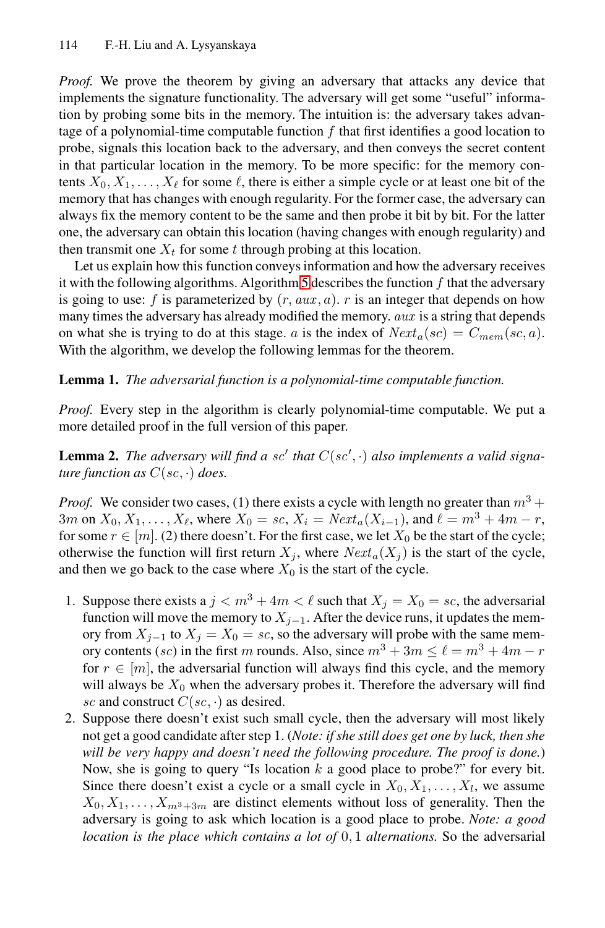*Proof.* We prove the theorem by giving an adversary that attacks any device that implements the signature functionality. The adversary will get some "useful" information by probing some bits in the memory. The intuition is: the adversary takes advantage of a polynomial-time computable function  $f$  that first identifies a good location to probe, signals this loc[ati](#page-9-0)on back to the adversary, and then conveys the secret content in that particular location in the memory. To be more specific: for the memory contents  $X_0, X_1, \ldots, X_\ell$  for some  $\ell$ , there is either a simple cycle or at least one bit of the memory that has changes with enough regularity. For the former case, the adversary can always fix the memory content to be the same and then probe it bit by bit. For the latter one, the adversary can obtain this location (having changes with enough regularity) and then transmit one  $X_t$  for some t through probing at this location.

Let us explain how this function conveys information and how the adversary receives it with the following algorithms. Algorithm 5 describes the function  $f$  that the adversary is going to use: f is parameterized by  $(r, aux, a)$ . r is an integer that depends on how many times the adversary has already modified the memory. *aux* is a string that depends on what she is trying to do at this stage. a is the index of  $Next_a$ (sc) =  $C_{mem}(sc, a)$ . With the algorithm, we develop the following lemmas for the theorem.

### **Lemma 1.** *The adversarial function is a polynomial-time computable function.*

*Proof.* Every step in the algorithm is clearly polynomial-time computable. We put a more detailed proof in the full version of this paper.

**Lemma 2.** The adversary will find a  $sc'$  that  $C(se', \cdot)$  also implements a valid signature function as  $C(se, \cdot)$  does *ture function as*  $C$ *(sc, ·) does.* 

*Proof.* We consider two cases, (1) there exists a cycle with length no greater than  $m^3$  + 3m on  $X_0, X_1, \ldots, X_\ell$ , where  $X_0 = sc$ ,  $X_i = Next_a(X_{i-1})$ , and  $\ell = m^3 + 4m - r$ , for some  $r \in [m]$ . (2) there doesn't. For the first case, we let  $X_0$  be the start of the cycle; otherwise the function will first return  $X_i$ , where  $Next_a(X_i)$  is the start of the cycle, and then we go back to the case where  $X_0$  is the start of the cycle.

- 1. Suppose there exists a  $j < m^3 + 4m < \ell$  such that  $X_j = X_0 = sc$ , the adversarial function will move the memory to  $X_{j-1}$ . After the device runs, it updates the memory from  $X_{i-1}$  to  $X_i = X_0 = sc$ , so the adversary will probe with the same memory contents (*sc*) in the first m rounds. Also, since  $m^3 + 3m \le \ell = m^3 + 4m - r$ for  $r \in [m]$ , the adversarial function will always find this cycle, and the memory will always be  $X_0$  when the adversary probes it. Therefore the adversary will find *sc* and construct  $C$ (*sc*, ·) as desired.
- 2. Suppose there doesn't exist such small cycle, then the adversary will most likely not get a good candidate after step 1. (*Note: if she still does get one by luck, then she will be very happy and doesn't need the following procedure. The proof is done.*) Now, she is going to query "Is location  $k$  a good place to probe?" for every bit. Since there doesn't exist a cycle or a small cycle in  $X_0, X_1, \ldots, X_l$ , we assume  $X_0, X_1, \ldots, X_{m^3+3m}$  are distinct elements without loss of generality. Then the adversary is going to ask which location is a good place to probe. *Note: a good location is the place which contains a lot of* <sup>0</sup>, <sup>1</sup> *alternations.* So the adversarial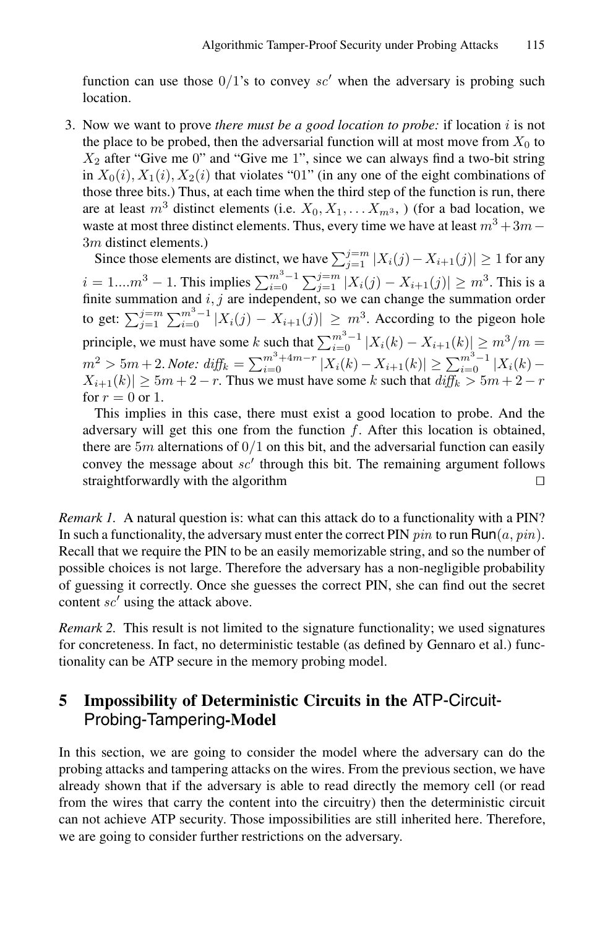function can use those  $0/1$ 's to convey  $sc'$  when the adversary is probing such location location.

3. Now we want to prove *there must be a good location to probe:* if location i is not the place to be probed, then the adversarial function will at most move from  $X_0$  to  $X_2$  after "Give me 0" and "Give me 1", since we can always find a two-bit string in  $X_0(i)$ ,  $X_1(i)$ ,  $X_2(i)$  that violates "01" (in any one of the eight combinations of those three bits.) Thus, at each time when the third step of the function is run, there are at least  $m^3$  distinct elements (i.e.  $X_0, X_1, \ldots, X_m$ <sub>3</sub>, ) (for a bad location, we waste at most three distinct elements. Thus, every time we have at least  $m^3 + 3m - 3m$  distinct elements.)

3*m* distinct elements.)<br>Since those elements are distinct, we have  $\sum_{j=1}^{j=m} |X_i(j) - X_{i+1}(j)| \ge 1$  for any  $i = 1...m^3 - 1$ . This implies  $\sum_{i=0}^{m^3-1} \sum_{j=1}^{j=m} |X_i(j) - X_{i+1}(j)| \geq m^3$ . This is a finite summation and  $i$ , i are independent so we can change the summation order finite summation and i, j are independent, so we can change the summation order to get:  $\sum_{i=1}^{j=m}$  $\sum_{j=1}^{j=m} \sum_{i=0}^{m^3-1} |X_i(j) - X_{i+1}(j)| \geq m^3$ . According to the pigeon hole principle, we must have some k such that  $\sum_{i=0}^{m^3-1} |X_i(k) - X_{i+1}(k)| \ge m^3/m =$  $m^2 > 5m + 2$ . *Note:*  $diff_k = \sum_{i=0}^{m^3+4m-r} |X_i(k) - X_{i+1}(k)| \ge \sum_{i=0}^{m^3-1} |X_i(k) - X_{i+1}(k)| > \sum_{i=0}^{m^3-1} |X_i(k) - X_{i+1}(k)|$  $|X_{i+1}(k)| \ge 5m + 2 - r$ . Thus we must have some k such that  $\frac{d}{dt} > 5m + 2 - r$ for  $r = 0$  or 1.

This implies in this case, there must exist a good location to probe. And the adversary will get this one from the function  $f$ . After this location is obtained, there are  $5m$  alternations of  $0/1$  on this bit, and the adversarial function can easily convey the message about  $sc'$  through this bit. The remaining argument follows straightforwardly with the algorithm  $\square$ 

*Remark 1.* A natural question is: what can this attack do to a functionality with a PIN? In such a functionality, the adversary must enter the correct PIN  $pin$  to run  $Run(a, pin)$ . Recall that we require the PIN to be an easily memorizable string, and so the number of possible choices is not large. Therefore the adversary has a non-negligible probability of guessing it correctly. Once she guesses the correct PIN, she can find out the secret content  $sc'$  using the attack above.

*Remark 2.* This result is not limited to the signature functionality; we used signatures for concreteness. In fact, no deterministic testable (as defined by Gennaro et al.) functionality can be ATP secure in the memory probing model.

# <span id="page-9-0"></span>**5 Impossibility of Deterministic Circuits in the** ATP-Circuit-Probing-Tampering**-Model**

In this section, we are going to consider the model where the adversary can do the probing attacks and tampering attacks on the wires. From the previous section, we have already shown that if the adversary is able to read directly the memory cell (or read from the wires that carry the content into the circuitry) then the deterministic circuit can not achieve ATP security. Those impossibilities are still inherited here. Therefore, we are going to consider further restrictions on the adversary.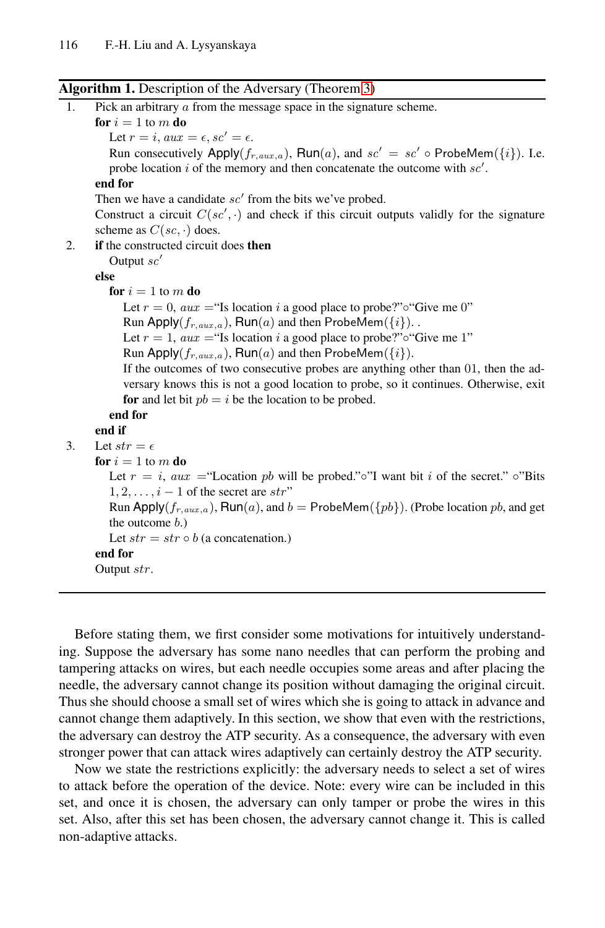### **Algorithm 1.** Description of the Adversary (Theorem 3)

1. Pick an arbitrary a from the message space in the signature scheme. **for**  $i = 1$  to  $m$  **do** Let  $r = i$ ,  $aux = \epsilon$ ,  $sc' = \epsilon$ . Run consecutively  $Apply(f_{r,aux,a})$ ,  $Run(a)$ , and  $sc' = sc' \circ Problem(m({i}).$  I.e. probe location  $i$  of the memory and then concatenate the outcome with  $sc'$ . **end for** Then we have a candidate  $sc'$  from the bits we've probed. Construct a circuit  $C(se', \cdot)$  and check if this circuit outputs validly for the signature scheme as  $C(sc, \cdot)$  does. 2. **if** the constructed circuit does **then** Output  $sc'$ **else for**  $i = 1$  to m **do** Let  $r = 0$ ,  $aux =$ "Is location i a good place to probe?" $\circ$ "Give me 0" Run Apply( $f_{r,aux,a}$ ), Run(a) and then ProbeMem( $\{i\}$ )... Let  $r = 1$ ,  $aux =$  "Is location i a good place to probe?" $\circ$ "Give me 1" Run Apply( $f_{r,aux,a}$ ), Run(a) and then ProbeMem( $\{i\}$ ). If the outcomes of two consecutive probes are anything other than 01, then the adversary knows this is not a good location to probe, so it continues. Otherwise, exit **for** and let bit  $pb = i$  be the location to be probed. **end for end if** 3. Let  $str = \epsilon$ **for**  $i = 1$  to m **do** Let  $r = i$ , aux = "Location pb will be probed."◦"I want bit i of the secret." ◦"Bits  $1, 2, \ldots, i - 1$  of the secret are str" Run Apply( $f_{r,aux,a}$ ), Run(a), and  $b =$  ProbeMem( $\{pb\}$ ). (Probe location  $pb$ , and get the outcome  $b$ .) Let  $str = str \circ b$  (a concatenation.) **end for** Output str.

Before stating them, we first consider some motivations for intuitively understanding. Suppose the adversary has some nano needles that can perform the probing and tampering attacks on wires, but each needle occupies some areas and after placing the needle, the adversary cannot change its position without damaging the original circuit. Thus she should choose a small set of wires which she is going to attack in advance and cannot change them adaptively. In this section, we show that even with the restrictions, the adversary can destroy the ATP security. As a consequence, the adversary with even stronger power that can attack wires adaptively can certainly destroy the ATP security.

Now we state the restrictions explicitly: the adversary needs to select a set of wires to attack before the operation of the device. Note: every wire can be included in this set, and once it is chosen, the adversary can only tamper or probe the wires in this set. Also, after this set has been chosen, the adversary cannot change it. This is called non-adaptive attacks.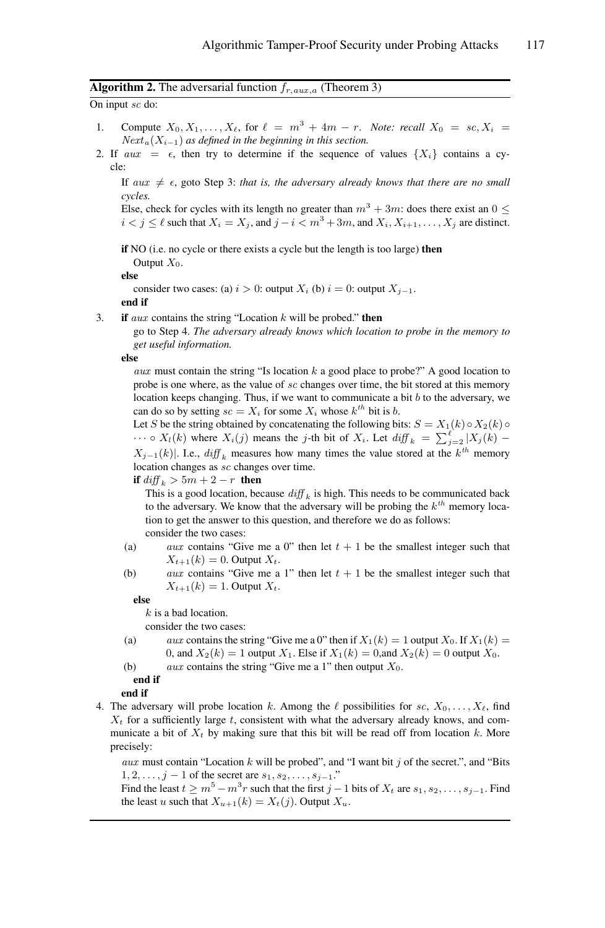|                                                                                  | <b>Algorithm 2.</b> The adversarial function $f_{r, aux, a}$ (Theorem 3) |  |  |
|----------------------------------------------------------------------------------|--------------------------------------------------------------------------|--|--|
| $\mathbf{O}$ and $\mathbf{O}$ and $\mathbf{O}$ and $\mathbf{O}$ and $\mathbf{O}$ |                                                                          |  |  |

On input sc do:

- 1. Compute  $X_0, X_1, \ldots, X_\ell$ , for  $\ell = m^3 + 4m r$ . *Note: recall*  $X_0 = sc, X_i =$  $Next_a(X_{i-1})$  *as defined in the beginning in this section.*
- 2. If aux =  $\epsilon$ , then try to determine if the sequence of values  $\{X_i\}$  contains a cycle:

If aux  $\neq \epsilon$ , goto Step 3: *that is, the adversary already knows that there are no small cycles.*

Else, check for cycles with its length no greater than  $m^3 + 3m$ : does there exist an  $0 \leq$  $i < j \leq \ell$  such that  $X_i = X_j$ , and  $j - i < m^3 + 3m$ , and  $X_i, X_{i+1}, \ldots, X_j$  are distinct.

**if** NO (i.e. no cycle or there exists a cycle but the length is too large) **then**

Output  $X_0$ .

**else**

consider two cases: (a)  $i > 0$ : output  $X_i$  (b)  $i = 0$ : output  $X_{i-1}$ .

**end if**

3. **if** aux contains the string "Location k will be probed." **then**

go to Step 4. *The adversary already knows which location to probe in the memory to get useful information.*

#### **else**

*aux* must contain the string "Is location k a good place to probe?" A good location to probe is one where, as the value of sc changes over time, the bit stored at this memory location keeps changing. Thus, if we want to communicate a bit  $b$  to the adversary, we can do so by setting  $sc = X_i$  for some  $X_i$  whose  $k^{th}$  bit is b.

Let S be the string obtained by concatenating the following bits:  $S = X_1(k) \circ X_2(k) \circ$  $\cdots \circ X_l(k)$  where  $X_i(j)$  means the j-th bit of  $X_i$ . Let  $diff_k = \sum_{j=2}^{\ell} |X_j(k) X_{i-1}(k)$ . I.e.,  $diff_k$  measures how many times the value stored at the  $k^{th}$  memory location changes as sc changes over time.

**if**  $diff_k > 5m + 2 - r$  **then** 

This is a good location, because  $\text{diff}_k$  is high. This needs to be communicated back to the adversary. We know that the adversary will be probing the k*th* memory location to get the answer to this question, and therefore we do as follows: consider the two cases:

- (a) aux contains "Give me a 0" then let  $t + 1$  be the smallest integer such that  $X_{t+1}(k)=0$ . Output  $X_t$ .
- (b) aux contains "Give me a 1" then let  $t + 1$  be the smallest integer such that  $X_{t+1}(k)=1$ . Output  $X_t$ .

**else**

 $k$  is a bad location.

consider the two cases:

- (a) aux contains the string "Give me a 0" then if  $X_1(k)=1$  output  $X_0$ . If  $X_1(k)$  = 0, and  $X_2(k)=1$  output  $X_1$ . Else if  $X_1(k)=0$ , and  $X_2(k)=0$  output  $X_0$ .
- (b) aux contains the string "Give me a 1" then output  $X_0$ .

**end if**

#### **end if**

4. The adversary will probe location k. Among the  $\ell$  possibilities for sc,  $X_0, \ldots, X_\ell$ , find  $X_t$  for a sufficiently large t, consistent with what the adversary already knows, and communicate a bit of  $X_t$  by making sure that this bit will be read off from location k. More precisely:

aux must contain "Location  $k$  will be probed", and "I want bit  $j$  of the secret.", and "Bits  $1, 2, \ldots, j - 1$  of the secret are  $s_1, s_2, \ldots, s_{j-1}$ ."

Find the least  $t \geq m^5 - m^3r$  such that the first  $j - 1$  bits of  $X_t$  are  $s_1, s_2, \ldots, s_{j-1}$ . Find the least u such that  $X_{u+1}(k) = X_t(j)$ . Output  $X_u$ .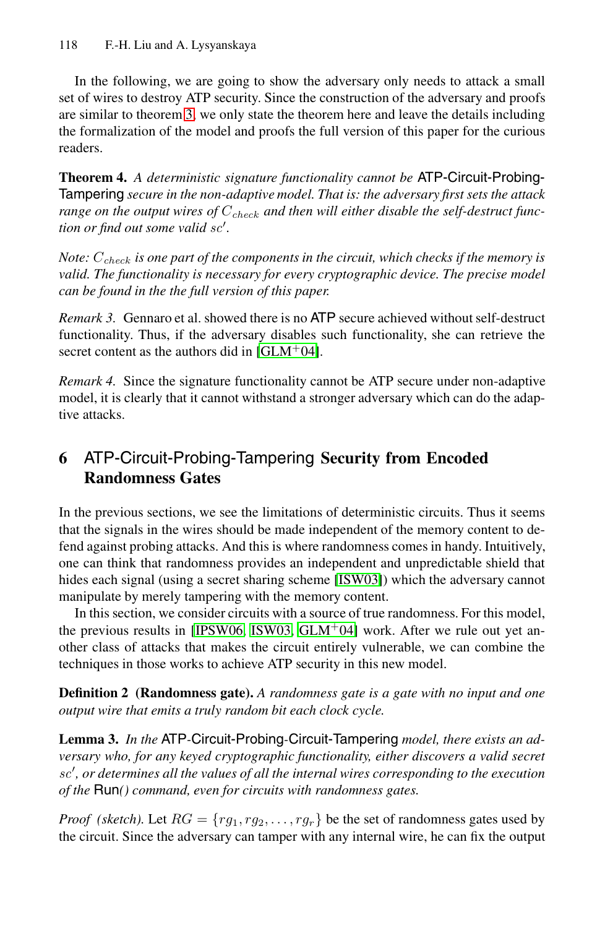In the following, we are going to show the adversary only needs to attack a small set of wires to destroy ATP security. Since the construction of the adversary and proofs are similar to theorem 3, we only state the theorem here and leave the details including the formalization of the model and proofs the full version of this paper for the curious readers.

**Theorem 4.** *A deterministic signature functionality cannot be* ATP-Circuit-Probing-Tampering *secure in the non-adaptive model. That is: the adversary first sets the attack range on the output wires of* <sup>C</sup>*check and then will either disable the self-destruct function or find out [some](#page-14-4) [valid](#page-14-4) sc*- *.*

*Note:* <sup>C</sup>*check is one part of the components in the circuit, which checks if the memory is valid. The functionality is necessary for every cryptographic device. The precise model can be found in the the full version of this paper.*

*Remark 3.* Gennaro et al. showed there is no ATP secure achieved without self-destruct functionality. Thus, if the adversary disables such functionality, she can retrieve the secret content as the authors did in  $[GLM+04]$ .

*Remark 4.* Since the signature functionality cannot be ATP secure under non-adaptive model, it is clearly that it cannot withstand a stronger adversary which can do the adaptive attacks.

## **6** ATP-Circuit-Probi[ng-Tam](#page-14-6)pering **Security from Encoded Randomness Gates**

In [the](#page-14-10) [previo](#page-14-10)[us](#page-14-6) [sectio](#page-14-6)[ns,](#page-14-4) [we](#page-14-4) [see](#page-14-4) the limitations of deterministic circuits. Thus it seems that the signals in the wires should be made independent of the memory content to defend against probing attacks. And this is where randomness comes in handy. Intuitively, one can think that randomness provides an independent and unpredictable shield that hides each signal (using a secret sharing scheme [ISW03]) which the adversary cannot manipulate by merely tampering with the memory content.

In this section, we consider circuits with a source of true randomness. For this model, the previous results in [IPSW06, ISW03,  $GLM+04$ ] work. After we rule out yet another class of attacks that makes the circuit entirely vulnerable, we can combine the techniques in those works to achieve ATP security in this new model.

**Definition 2 (Randomness gate).** *A randomness gate is a gate with no input and one output wire that emits a truly random bit each clock cycle.*

**Lemma 3.** *In the* ATP*-*Circuit-Probing*-*Circuit-Tampering *model, there exists an adversary who, for any keyed cryptographic functionality, either discovers a valid secret sc*- *, or determines all the values of all the internal wires corresponding to the execution of the* Run*() command, even for circuits with randomness gates.*

*Proof (sketch).* Let  $RG = \{rq_1, rq_2, ..., rq_r\}$  be the set of randomness gates used by the circuit. Since the adversary can tamper with any internal wire, he can fix the output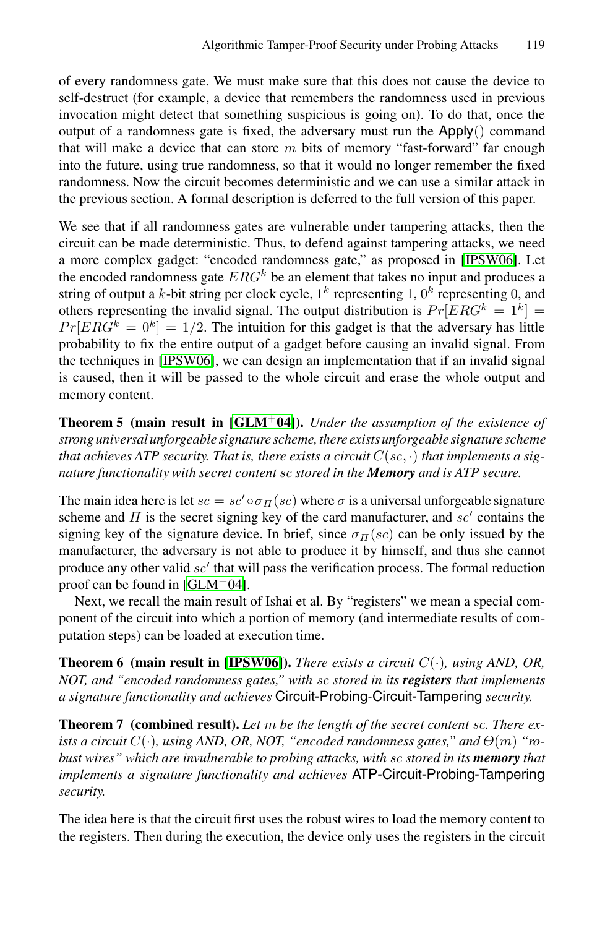of every randomness gate. We must make sure that this does not cause the device to self-destruct (for example, a device that remembers the randomness used in previous invocation might detect that something suspicious is going on). To do that, once the output of a randomness gate is fixed, the adversa[ry must ru](#page-14-10)n the Apply() command that will make a device that can store  $m$  bits of memory "fast-forward" far enough into the future, using true randomness, so that it would no longer remember the fixed randomness. Now the circuit becomes deterministic and we can use a similar attack in the previous section. A formal description is deferred to the full version of this paper.

[We see](#page-14-10) that if all randomness gates are vulnerable under tampering attacks, then the circuit can be made deterministic. Thus, to defend against tampering attacks, we need a more complex gadget: "encoded randomness gate," as proposed in [IPSW06]. Let the encoded randomness gate  $ERG<sup>k</sup>$  be an element that takes no input and produces a string of o[utput a](#page-14-4) k-bit string per clock cycle,  $1^k$  representing 1,  $0^k$  representing 0, and others representing the invalid signal. The output distribution is  $Pr[ERG^k = 1^k] =$  $Pr[ERG^k = 0^k] = 1/2$ . The intuition for this gadget is that the adversary has little probability to fix the entire output of a gadget before causing an invalid signal. From the techniques in [IPSW06], we can design an implementation that if an invalid signal is caused, then it will be passed to the whole circuit and erase the whole output and memory content.

**Theorem 5 (main result in [GLM**<sup>+</sup>**04]).** *Under the assumption of the existence of strong universalunforgeablesignaturescheme,thereexistsunforgeablesignaturescheme t[hat achieves](#page-14-4) ATP security. That is, there exists a circuit*  $C$ ( $sc$ , ·) *that implements a signature functionality with secret content sc stored in the Memory and is ATP secure.*

The main idea here is let  $sc = sc' \circ \sigma_H (sc)$  where  $\sigma$  is a universal unforgeable signature scheme and  $H$  is the secret signing key of the card manufacturer, and  $sc'$  contains the scheme and  $\Pi$  is the secret signing key of the card manufacturer, and  $sc'$  contains the signing key of the signature device. In brief, since  $\sigma_{\Pi}(sc)$  can be only issued by the signing k[ey of the](#page-14-10) signature device. In brief, since  $\sigma_{\Pi}(sc)$  can be only issued by the manufacturer, the adversary is not able to produce it by himself, and thus she cannot produce any other valid sc' that will pass the verification process. The formal reduction proof can be found in [GLM<sup>+</sup>04].

Next, we recall the main result of Ishai et al. By "registers" we mean a special component of the circuit into which a portion of memory (and intermediate results of computation steps) can be loaded at execution time.

**Theorem 6 (main result in [IPSW06]).** *There exists a circuit* C(·)*, using AND, OR, NOT, and "encoded randomness gates," with sc stored in its registers that implements a signature functionality and achieves* Circuit-Probing*-*Circuit-Tampering *security.*

**Theorem 7 (combined result).** *Let* m *be the length of the secret content sc. There exists a circuit*  $C(\cdot)$ , using AND, OR, NOT, "encoded randomness gates," and  $\Theta(m)$  "ro*bust wires" which are invulnerable to probing attacks, with sc stored in its memory that implements a signature functionality and achieves* ATP-Circuit-Probing-Tampering *security.*

The idea here is that the circuit first uses the robust wires to load the memory content to the registers. Then during the execution, the device only uses the registers in the circuit